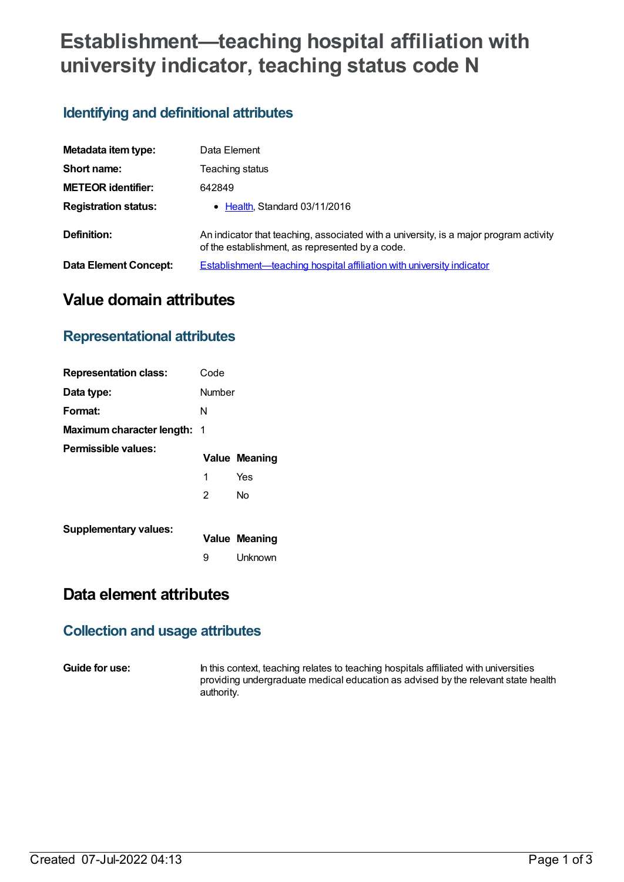# **Establishment—teaching hospital affiliation with university indicator, teaching status code N**

### **Identifying and definitional attributes**

| Metadata item type:         | Data Element                                                                                                                             |
|-----------------------------|------------------------------------------------------------------------------------------------------------------------------------------|
| Short name:                 | Teaching status                                                                                                                          |
| <b>METEOR identifier:</b>   | 642849                                                                                                                                   |
| <b>Registration status:</b> | • Health, Standard 03/11/2016                                                                                                            |
| Definition:                 | An indicator that teaching, associated with a university, is a major program activity<br>of the establishment, as represented by a code. |
| Data Element Concept:       | Establishment—teaching hospital affiliation with university indicator                                                                    |

# **Value domain attributes**

#### **Representational attributes**

| <b>Representation class:</b>       | Code   |                      |
|------------------------------------|--------|----------------------|
| Data type:                         | Number |                      |
| Format:                            | N      |                      |
| <b>Maximum character length: 1</b> |        |                      |
| Permissible values:                |        | <b>Value Meaning</b> |
|                                    | 1      | Yes                  |
|                                    | 2      | N٥                   |
| <b>Supplementary values:</b>       |        | <b>Value Meaning</b> |
|                                    | 9      | Unknown              |

# **Data element attributes**

#### **Collection and usage attributes**

**Guide for use:** In this context, teaching relates to teaching hospitals affiliated with universities providing undergraduate medical education as advised by the relevant state health authority.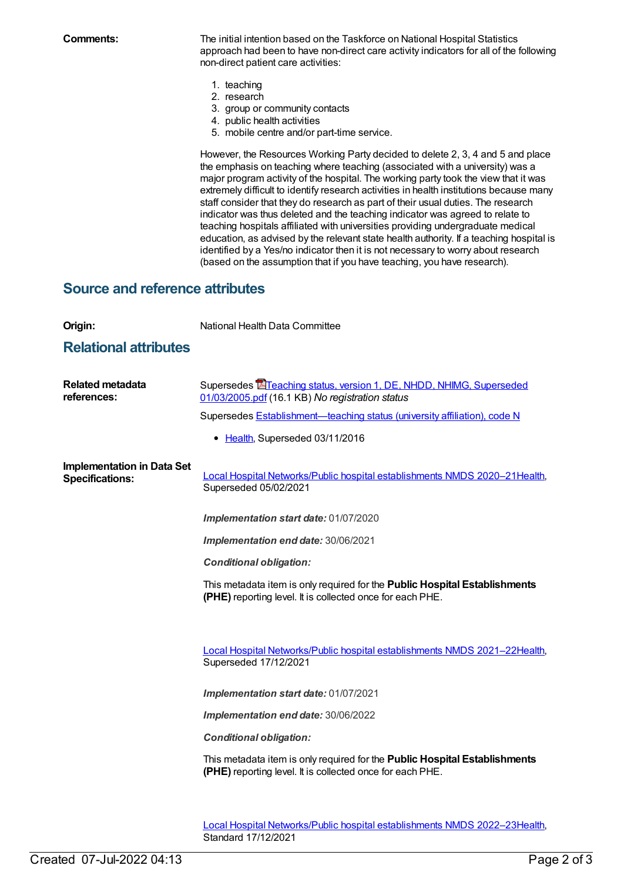**Comments:** The initial intention based on the Taskforce on National Hospital Statistics approach had been to have non-direct care activity indicators for all of the following non-direct patient care activities:

- 1. teaching
- 2. research
- 3. group or community contacts
- 4. public health activities
- 5. mobile centre and/or part-time service.

However, the Resources Working Party decided to delete 2, 3, 4 and 5 and place the emphasis on teaching where teaching (associated with a university) was a major program activity of the hospital. The working party took the view that it was extremely difficult to identify research activities in health institutions because many staff consider that they do research as part of their usual duties. The research indicator was thus deleted and the teaching indicator was agreed to relate to teaching hospitals affiliated with universities providing undergraduate medical education, as advised by the relevant state health authority. If a teaching hospital is identified by a Yes/no indicator then it is not necessary to worry about research (based on the assumption that if you have teaching, you have research).

#### **Source and reference attributes**

| Origin:                                                     | National Health Data Committee                                                                                                                 |
|-------------------------------------------------------------|------------------------------------------------------------------------------------------------------------------------------------------------|
| <b>Relational attributes</b>                                |                                                                                                                                                |
| <b>Related metadata</b><br>references:                      | Supersedes <b>E</b> Teaching status, version 1, DE, NHDD, NHIMG, Superseded<br>01/03/2005.pdf (16.1 KB) No registration status                 |
|                                                             | Supersedes Establishment-teaching status (university affiliation), code N                                                                      |
|                                                             | • Health, Superseded 03/11/2016                                                                                                                |
| <b>Implementation in Data Set</b><br><b>Specifications:</b> | Local Hospital Networks/Public hospital establishments NMDS 2020-21 Health,<br>Superseded 05/02/2021                                           |
|                                                             | Implementation start date: 01/07/2020                                                                                                          |
|                                                             | Implementation end date: 30/06/2021                                                                                                            |
|                                                             | <b>Conditional obligation:</b>                                                                                                                 |
|                                                             | This metadata item is only required for the <b>Public Hospital Establishments</b><br>(PHE) reporting level. It is collected once for each PHE. |
|                                                             |                                                                                                                                                |
|                                                             | Local Hospital Networks/Public hospital establishments NMDS 2021-22Health,<br>Superseded 17/12/2021                                            |
|                                                             | Implementation start date: 01/07/2021                                                                                                          |
|                                                             | Implementation end date: 30/06/2022                                                                                                            |
|                                                             | <b>Conditional obligation:</b>                                                                                                                 |
|                                                             | This metadata item is only required for the Public Hospital Establishments<br>(PHE) reporting level. It is collected once for each PHE.        |
|                                                             |                                                                                                                                                |

Local Hospital [Networks/Public](https://meteor.aihw.gov.au/content/742044) hospital establishments NMDS 2022–23[Health](https://meteor.aihw.gov.au/RegistrationAuthority/12), Standard 17/12/2021